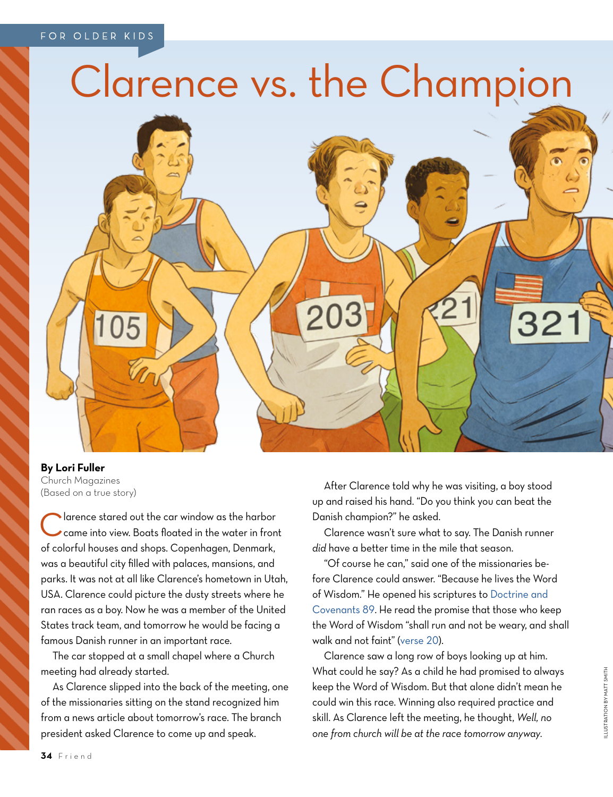## Clarence vs. the Champion



**By Lori Fuller** Church Magazines (Based on a true story)

Clarence stared out the car window as the harbor<br>
came into view. Boats floated in the water in front of colorful houses and shops. Copenhagen, Denmark, was a beautiful city filled with palaces, mansions, and parks. It was not at all like Clarence's hometown in Utah, USA. Clarence could picture the dusty streets where he ran races as a boy. Now he was a member of the United States track team, and tomorrow he would be facing a famous Danish runner in an important race.

The car stopped at a small chapel where a Church meeting had already started.

As Clarence slipped into the back of the meeting, one of the missionaries sitting on the stand recognized him from a news article about tomorrow's race. The branch president asked Clarence to come up and speak.

After Clarence told why he was visiting, a boy stood up and raised his hand. "Do you think you can beat the Danish champion?" he asked.

Clarence wasn't sure what to say. The Danish runner *did* have a better time in the mile that season.

"Of course he can," said one of the missionaries before Clarence could answer. "Because he lives the Word of Wisdom." He opened his scriptures to [Doctrine and](https://www.lds.org/scriptures/dc-testament/dc/89?lang=eng)  [Covenants 89.](https://www.lds.org/scriptures/dc-testament/dc/89?lang=eng) He read the promise that those who keep the Word of Wisdom "shall run and not be weary, and shall walk and not faint" [\(verse 20\)](https://www.lds.org/scriptures/dc-testament/dc/89.20?lang=eng#19).

Clarence saw a long row of boys looking up at him. What could he say? As a child he had promised to always keep the Word of Wisdom. But that alone didn't mean he could win this race. Winning also required practice and skill. As Clarence left the meeting, he thought, *Well, no one from church will be at the race tomorrow anyway.*